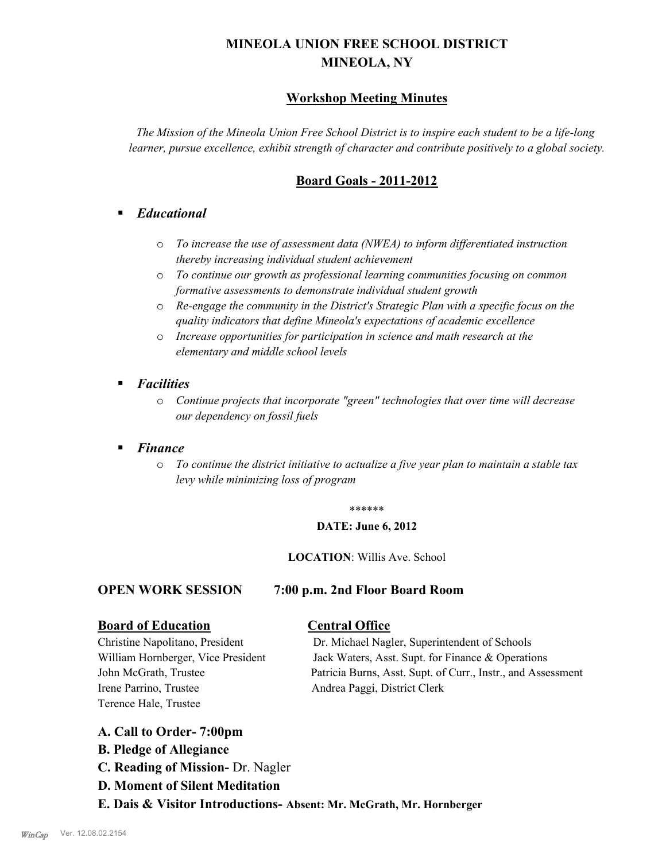# **MINEOLA UNION FREE SCHOOL DISTRICT MINEOLA, NY**

# **Workshop Meeting Minutes**

*The Mission of the Mineola Union Free School District is to inspire each student to be a life-long learner, pursue excellence, exhibit strength of character and contribute positively to a global society.*

# **Board Goals - 2011-2012**

# § *Educational*

- o *To increase the use of assessment data (NWEA) to inform differentiated instruction thereby increasing individual student achievement*
- o *To continue our growth as professional learning communities focusing on common formative assessments to demonstrate individual student growth*
- o *Re-engage the community in the District's Strategic Plan with a specific focus on the quality indicators that define Mineola's expectations of academic excellence*
- o *Increase opportunities for participation in science and math research at the elementary and middle school levels*
- *Facilities* 
	- o *Continue projects that incorporate "green" technologies that over time will decrease our dependency on fossil fuels*
- § *Finance*
	- o *To continue the district initiative to actualize a five year plan to maintain a stable tax levy while minimizing loss of program*

#### \*\*\*\*\*\*

## **DATE: June 6, 2012**

# **LOCATION**: Willis Ave. School

# **OPEN WORK SESSION 7:00 p.m. 2nd Floor Board Room**

# **Board of Education Central Office**

Irene Parrino, Trustee Andrea Paggi, District Clerk Terence Hale, Trustee

Christine Napolitano, President Dr. Michael Nagler, Superintendent of Schools William Hornberger, Vice President Jack Waters, Asst. Supt. for Finance & Operations John McGrath, Trustee Patricia Burns, Asst. Supt. of Curr., Instr., and Assessment

- **A. Call to Order- 7:00pm**
- **B. Pledge of Allegiance**
- **C. Reading of Mission-** Dr. Nagler
- **D. Moment of Silent Meditation**
- **E. Dais & Visitor Introductions- Absent: Mr. McGrath, Mr. Hornberger**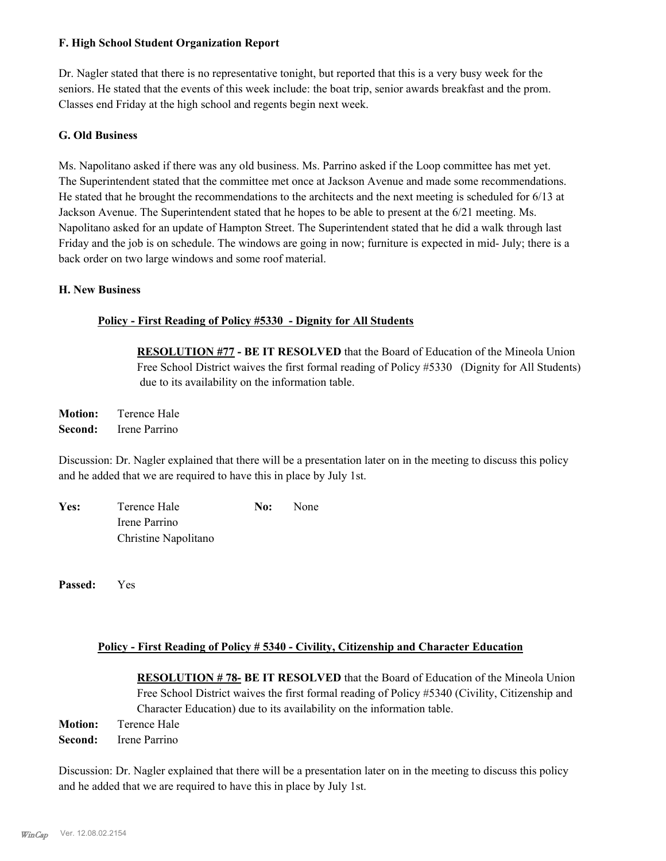# **F. High School Student Organization Report**

Dr. Nagler stated that there is no representative tonight, but reported that this is a very busy week for the seniors. He stated that the events of this week include: the boat trip, senior awards breakfast and the prom. Classes end Friday at the high school and regents begin next week.

# **G. Old Business**

Ms. Napolitano asked if there was any old business. Ms. Parrino asked if the Loop committee has met yet. The Superintendent stated that the committee met once at Jackson Avenue and made some recommendations. He stated that he brought the recommendations to the architects and the next meeting is scheduled for 6/13 at Jackson Avenue. The Superintendent stated that he hopes to be able to present at the 6/21 meeting. Ms. Napolitano asked for an update of Hampton Street. The Superintendent stated that he did a walk through last Friday and the job is on schedule. The windows are going in now; furniture is expected in mid- July; there is a back order on two large windows and some roof material.

# **H. New Business**

# **Policy - First Reading of Policy #5330 - Dignity for All Students**

**RESOLUTION #77 - BE IT RESOLVED** that the Board of Education of the Mineola Union Free School District waives the first formal reading of Policy #5330 (Dignity for All Students) due to its availability on the information table.

**Motion:** Terence Hale **Second:** Irene Parrino

Discussion: Dr. Nagler explained that there will be a presentation later on in the meeting to discuss this policy and he added that we are required to have this in place by July 1st.

| Yes: | Terence Hale         | No: | None |  |
|------|----------------------|-----|------|--|
|      | Irene Parrino        |     |      |  |
|      | Christine Napolitano |     |      |  |

**Passed:** Yes

# **Policy - First Reading of Policy # 5340 - Civility, Citizenship and Character Education**

**RESOLUTION # 78- BE IT RESOLVED** that the Board of Education of the Mineola Union Free School District waives the first formal reading of Policy #5340 (Civility, Citizenship and Character Education) due to its availability on the information table. **Motion:** Terence Hale **Second:** Irene Parrino

Discussion: Dr. Nagler explained that there will be a presentation later on in the meeting to discuss this policy and he added that we are required to have this in place by July 1st.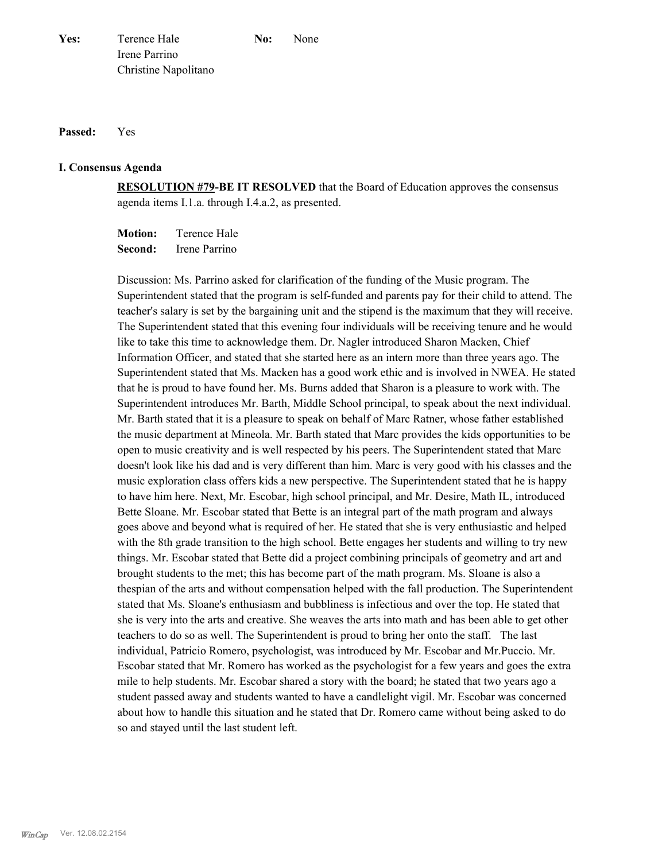#### **Passed:** Yes

#### **I. Consensus Agenda**

**RESOLUTION #79-BE IT RESOLVED** that the Board of Education approves the consensus agenda items I.1.a. through I.4.a.2, as presented.

**Motion:** Terence Hale **Second:** Irene Parrino

Discussion: Ms. Parrino asked for clarification of the funding of the Music program. The Superintendent stated that the program is self-funded and parents pay for their child to attend. The teacher's salary is set by the bargaining unit and the stipend is the maximum that they will receive. The Superintendent stated that this evening four individuals will be receiving tenure and he would like to take this time to acknowledge them. Dr. Nagler introduced Sharon Macken, Chief Information Officer, and stated that she started here as an intern more than three years ago. The Superintendent stated that Ms. Macken has a good work ethic and is involved in NWEA. He stated that he is proud to have found her. Ms. Burns added that Sharon is a pleasure to work with. The Superintendent introduces Mr. Barth, Middle School principal, to speak about the next individual. Mr. Barth stated that it is a pleasure to speak on behalf of Marc Ratner, whose father established the music department at Mineola. Mr. Barth stated that Marc provides the kids opportunities to be open to music creativity and is well respected by his peers. The Superintendent stated that Marc doesn't look like his dad and is very different than him. Marc is very good with his classes and the music exploration class offers kids a new perspective. The Superintendent stated that he is happy to have him here. Next, Mr. Escobar, high school principal, and Mr. Desire, Math IL, introduced Bette Sloane. Mr. Escobar stated that Bette is an integral part of the math program and always goes above and beyond what is required of her. He stated that she is very enthusiastic and helped with the 8th grade transition to the high school. Bette engages her students and willing to try new things. Mr. Escobar stated that Bette did a project combining principals of geometry and art and brought students to the met; this has become part of the math program. Ms. Sloane is also a thespian of the arts and without compensation helped with the fall production. The Superintendent stated that Ms. Sloane's enthusiasm and bubbliness is infectious and over the top. He stated that she is very into the arts and creative. She weaves the arts into math and has been able to get other teachers to do so as well. The Superintendent is proud to bring her onto the staff. The last individual, Patricio Romero, psychologist, was introduced by Mr. Escobar and Mr.Puccio. Mr. Escobar stated that Mr. Romero has worked as the psychologist for a few years and goes the extra mile to help students. Mr. Escobar shared a story with the board; he stated that two years ago a student passed away and students wanted to have a candlelight vigil. Mr. Escobar was concerned about how to handle this situation and he stated that Dr. Romero came without being asked to do so and stayed until the last student left.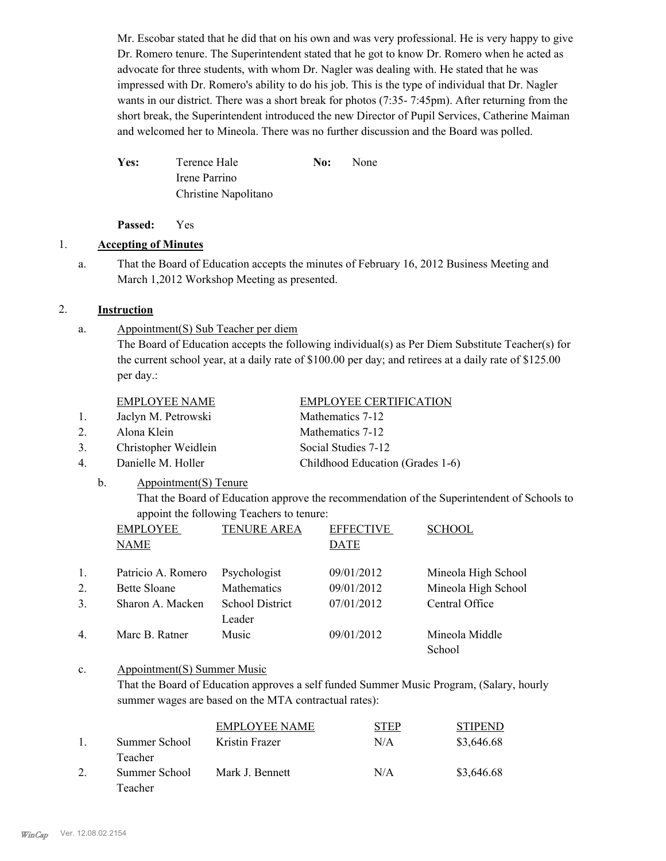Mr. Escobar stated that he did that on his own and was very professional. He is very happy to give Dr. Romero tenure. The Superintendent stated that he got to know Dr. Romero when he acted as advocate for three students, with whom Dr. Nagler was dealing with. He stated that he was impressed with Dr. Romero's ability to do his job. This is the type of individual that Dr. Nagler wants in our district. There was a short break for photos (7:35- 7:45pm). After returning from the short break, the Superintendent introduced the new Director of Pupil Services, Catherine Maiman and welcomed her to Mineola. There was no further discussion and the Board was polled.

Yes: Terence Hale **No:** None Irene Parrino Christine Napolitano

**Passed:** Yes

# 1. **Accepting of Minutes**

That the Board of Education accepts the minutes of February 16, 2012 Business Meeting and March 1,2012 Workshop Meeting as presented. a.

# 2. **Instruction**

Appointment(S) Sub Teacher per diem a.

> The Board of Education accepts the following individual(s) as Per Diem Substitute Teacher(s) for the current school year, at a daily rate of \$100.00 per day; and retirees at a daily rate of \$125.00 per day.:

- 1. Jaclyn M. Petrowski Mathematics 7-12
- 2. Alona Klein Mathematics 7-12

b.

- 3. Christopher Weidlein Social Studies 7-12
- 4. Danielle M. Holler Childhood Education (Grades 1-6)
	- Appointment(S) Tenure

That the Board of Education approve the recommendation of the Superintendent of Schools to appoint the following Teachers to tenure:

|    | <b>EMPLOYEE</b>    | <b>TENURE AREA</b>               | <b>EFFECTIVE</b> | <b>SCHOOL</b>            |
|----|--------------------|----------------------------------|------------------|--------------------------|
|    | <b>NAME</b>        |                                  | <b>DATE</b>      |                          |
| 1. | Patricio A. Romero | Psychologist                     | 09/01/2012       | Mineola High School      |
| 2. | Bette Sloane       | Mathematics                      | 09/01/2012       | Mineola High School      |
| 3. | Sharon A. Macken   | <b>School District</b><br>Leader | 07/01/2012       | Central Office           |
| 4  | Marc B. Ratner     | Music                            | 09/01/2012       | Mineola Middle<br>School |

#### Appointment(S) Summer Music c.

That the Board of Education approves a self funded Summer Music Program, (Salary, hourly summer wages are based on the MTA contractual rates):

|               | EMPLOYEE NAME   | STEP | <b>STIPEND</b> |
|---------------|-----------------|------|----------------|
| Summer School | Kristin Frazer  | N/A  | \$3,646.68     |
| Teacher       |                 |      |                |
| Summer School | Mark J. Bennett | N/A  | \$3,646.68     |
| Teacher       |                 |      |                |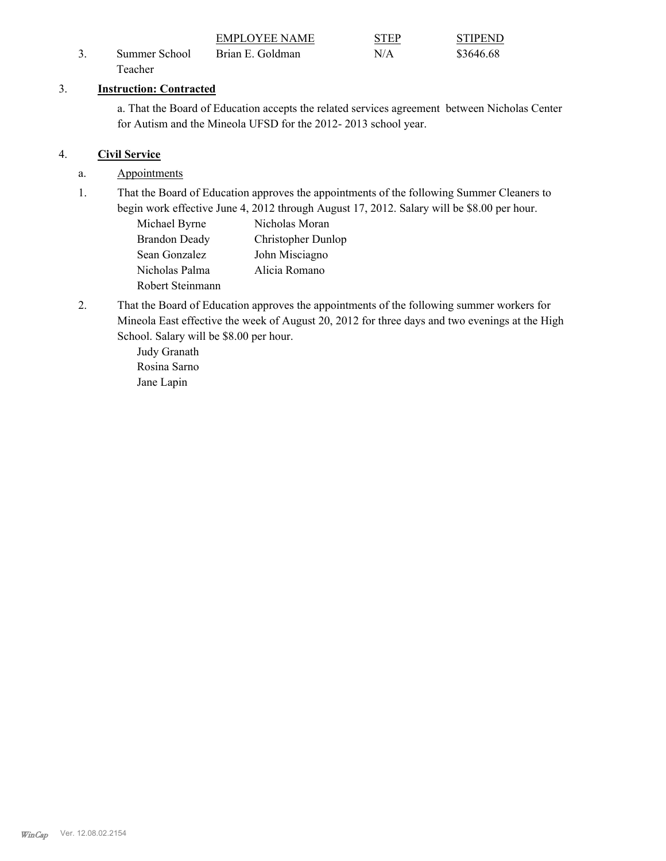|               | EMPLOYEE NAME    | <b>STEP</b> | <b>STIPEND</b> |
|---------------|------------------|-------------|----------------|
| Summer School | Brian E. Goldman | N/A         | \$3646.68      |
| Teacher       |                  |             |                |

# 3. **Instruction: Contracted**

a. That the Board of Education accepts the related services agreement between Nicholas Center for Autism and the Mineola UFSD for the 2012- 2013 school year.

# 4. **Civil Service**

- a. Appointments
- That the Board of Education approves the appointments of the following Summer Cleaners to begin work effective June 4, 2012 through August 17, 2012. Salary will be \$8.00 per hour. 1.
	- Michael Byrne Nicholas Moran Brandon Deady Christopher Dunlop Sean Gonzalez John Misciagno Nicholas Palma Alicia Romano Robert Steinmann
- That the Board of Education approves the appointments of the following summer workers for Mineola East effective the week of August 20, 2012 for three days and two evenings at the High School. Salary will be \$8.00 per hour. 2.

Judy Granath Rosina Sarno Jane Lapin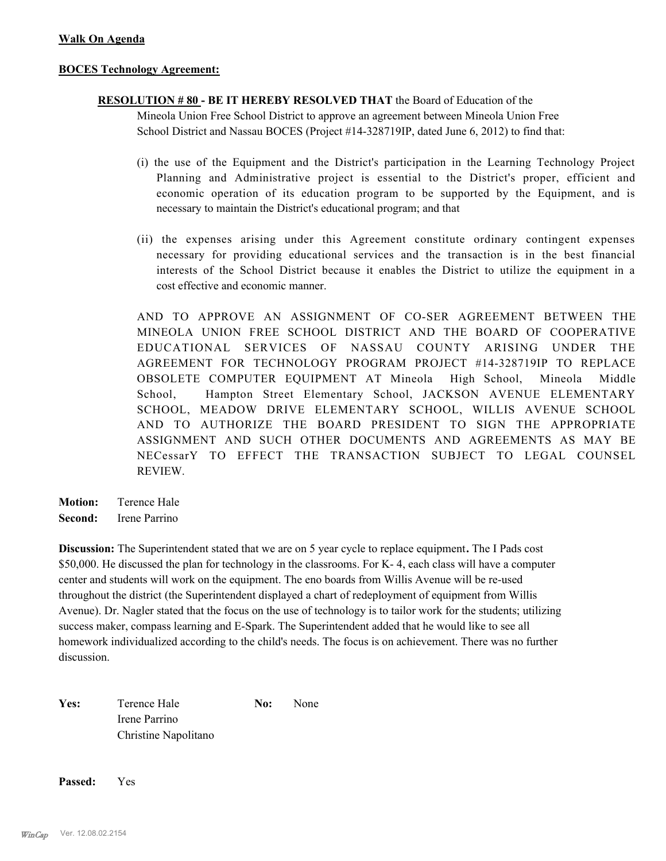### **BOCES Technology Agreement:**

# **RESOLUTION # 80 - BE IT HEREBY RESOLVED THAT** the Board of Education of the

Mineola Union Free School District to approve an agreement between Mineola Union Free School District and Nassau BOCES (Project #14-328719IP, dated June 6, 2012) to find that:

- (i) the use of the Equipment and the District's participation in the Learning Technology Project Planning and Administrative project is essential to the District's proper, efficient and economic operation of its education program to be supported by the Equipment, and is necessary to maintain the District's educational program; and that
- (ii) the expenses arising under this Agreement constitute ordinary contingent expenses necessary for providing educational services and the transaction is in the best financial interests of the School District because it enables the District to utilize the equipment in a cost effective and economic manner.

AND TO APPROVE AN ASSIGNMENT OF CO-SER AGREEMENT BETWEEN THE MINEOLA UNION FREE SCHOOL DISTRICT AND THE BOARD OF COOPERATIVE EDUCATIONAL SERVICES OF NASSAU COUNTY ARISING UNDER THE AGREEMENT FOR TECHNOLOGY PROGRAM PROJECT #14-328719IP TO REPLACE OBSOLETE COMPUTER EQUIPMENT AT Mineola High School, Mineola Middle School, Hampton Street Elementary School, JACKSON AVENUE ELEMENTARY SCHOOL, MEADOW DRIVE ELEMENTARY SCHOOL, WILLIS AVENUE SCHOOL AND TO AUTHORIZE THE BOARD PRESIDENT TO SIGN THE APPROPRIATE ASSIGNMENT AND SUCH OTHER DOCUMENTS AND AGREEMENTS AS MAY BE NECessarY TO EFFECT THE TRANSACTION SUBJECT TO LEGAL COUNSEL REVIEW.

**Motion:** Terence Hale **Second:** Irene Parrino

**Discussion:** The Superintendent stated that we are on 5 year cycle to replace equipment**.** The I Pads cost \$50,000. He discussed the plan for technology in the classrooms. For K- 4, each class will have a computer center and students will work on the equipment. The eno boards from Willis Avenue will be re-used throughout the district (the Superintendent displayed a chart of redeployment of equipment from Willis Avenue). Dr. Nagler stated that the focus on the use of technology is to tailor work for the students; utilizing success maker, compass learning and E-Spark. The Superintendent added that he would like to see all homework individualized according to the child's needs. The focus is on achievement. There was no further discussion.

| Yes: | Terence Hale         | No: | None |  |
|------|----------------------|-----|------|--|
|      | Irene Parrino        |     |      |  |
|      | Christine Napolitano |     |      |  |

**Passed:** Yes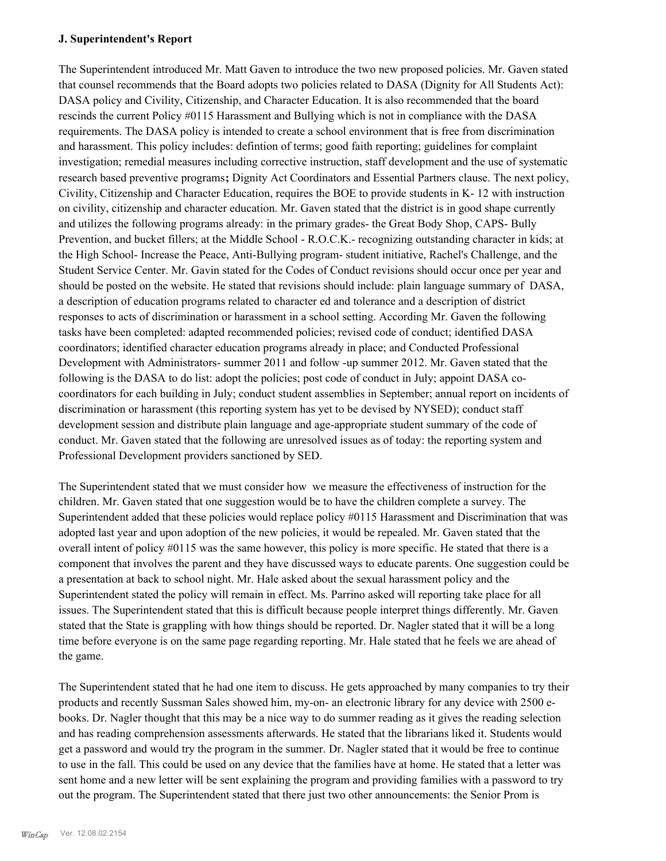### **J. Superintendent's Report**

The Superintendent introduced Mr. Matt Gaven to introduce the two new proposed policies. Mr. Gaven stated that counsel recommends that the Board adopts two policies related to DASA (Dignity for All Students Act): DASA policy and Civility, Citizenship, and Character Education. It is also recommended that the board rescinds the current Policy #0115 Harassment and Bullying which is not in compliance with the DASA requirements. The DASA policy is intended to create a school environment that is free from discrimination and harassment. This policy includes: defintion of terms; good faith reporting; guidelines for complaint investigation; remedial measures including corrective instruction, staff development and the use of systematic research based preventive programs**;** Dignity Act Coordinators and Essential Partners clause. The next policy, Civility, Citizenship and Character Education, requires the BOE to provide students in K- 12 with instruction on civility, citizenship and character education. Mr. Gaven stated that the district is in good shape currently and utilizes the following programs already: in the primary grades- the Great Body Shop, CAPS- Bully Prevention, and bucket fillers; at the Middle School - R.O.C.K.- recognizing outstanding character in kids; at the High School- Increase the Peace, Anti-Bullying program- student initiative, Rachel's Challenge, and the Student Service Center. Mr. Gavin stated for the Codes of Conduct revisions should occur once per year and should be posted on the website. He stated that revisions should include: plain language summary of DASA, a description of education programs related to character ed and tolerance and a description of district responses to acts of discrimination or harassment in a school setting. According Mr. Gaven the following tasks have been completed: adapted recommended policies; revised code of conduct; identified DASA coordinators; identified character education programs already in place; and Conducted Professional Development with Administrators- summer 2011 and follow -up summer 2012. Mr. Gaven stated that the following is the DASA to do list: adopt the policies; post code of conduct in July; appoint DASA cocoordinators for each building in July; conduct student assemblies in September; annual report on incidents of discrimination or harassment (this reporting system has yet to be devised by NYSED); conduct staff development session and distribute plain language and age-appropriate student summary of the code of conduct. Mr. Gaven stated that the following are unresolved issues as of today: the reporting system and Professional Development providers sanctioned by SED.

The Superintendent stated that we must consider how we measure the effectiveness of instruction for the children. Mr. Gaven stated that one suggestion would be to have the children complete a survey. The Superintendent added that these policies would replace policy #0115 Harassment and Discrimination that was adopted last year and upon adoption of the new policies, it would be repealed. Mr. Gaven stated that the overall intent of policy #0115 was the same however, this policy is more specific. He stated that there is a component that involves the parent and they have discussed ways to educate parents. One suggestion could be a presentation at back to school night. Mr. Hale asked about the sexual harassment policy and the Superintendent stated the policy will remain in effect. Ms. Parrino asked will reporting take place for all issues. The Superintendent stated that this is difficult because people interpret things differently. Mr. Gaven stated that the State is grappling with how things should be reported. Dr. Nagler stated that it will be a long time before everyone is on the same page regarding reporting. Mr. Hale stated that he feels we are ahead of the game.

The Superintendent stated that he had one item to discuss. He gets approached by many companies to try their products and recently Sussman Sales showed him, my-on- an electronic library for any device with 2500 ebooks. Dr. Nagler thought that this may be a nice way to do summer reading as it gives the reading selection and has reading comprehension assessments afterwards. He stated that the librarians liked it. Students would get a password and would try the program in the summer. Dr. Nagler stated that it would be free to continue to use in the fall. This could be used on any device that the families have at home. He stated that a letter was sent home and a new letter will be sent explaining the program and providing families with a password to try out the program. The Superintendent stated that there just two other announcements: the Senior Prom is